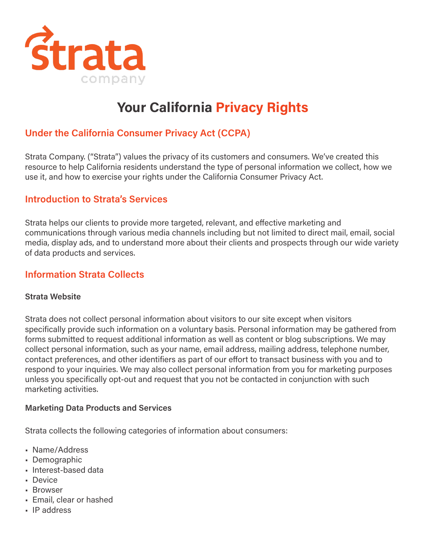

# **Your California Privacy Rights**

## **Under the California Consumer Privacy Act (CCPA)**

Strata Company. ("Strata") values the privacy of its customers and consumers. We've created this resource to help California residents understand the type of personal information we collect, how we use it, and how to exercise your rights under the California Consumer Privacy Act.

#### **Introduction to Strata's Services**

Strata helps our clients to provide more targeted, relevant, and effective marketing and communications through various media channels including but not limited to direct mail, email, social media, display ads, and to understand more about their clients and prospects through our wide variety of data products and services.

## **Information Strata Collects**

#### **Strata Website**

Strata does not collect personal information about visitors to our site except when visitors specifically provide such information on a voluntary basis. Personal information may be gathered from forms submitted to request additional information as well as content or blog subscriptions. We may collect personal information, such as your name, email address, mailing address, telephone number, contact preferences, and other identifiers as part of our effort to transact business with you and to respond to your inquiries. We may also collect personal information from you for marketing purposes unless you specifically opt-out and request that you not be contacted in conjunction with such marketing activities.

#### **Marketing Data Products and Services**

Strata collects the following categories of information about consumers:

- Name/Address
- Demographic
- Interest-based data
- Device
- Browser
- Email, clear or hashed
- IP address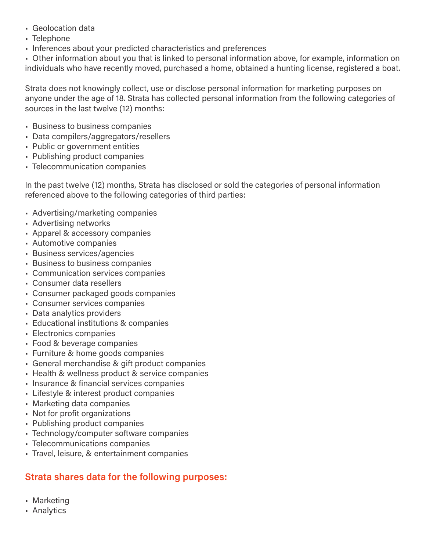- Geolocation data
- Telephone
- Inferences about your predicted characteristics and preferences

• Other information about you that is linked to personal information above, for example, information on individuals who have recently moved, purchased a home, obtained a hunting license, registered a boat.

Strata does not knowingly collect, use or disclose personal information for marketing purposes on anyone under the age of 18. Strata has collected personal information from the following categories of sources in the last twelve (12) months:

- Business to business companies
- Data compilers/aggregators/resellers
- Public or government entities
- Publishing product companies
- Telecommunication companies

In the past twelve (12) months, Strata has disclosed or sold the categories of personal information referenced above to the following categories of third parties:

- Advertising/marketing companies
- Advertising networks
- Apparel & accessory companies
- Automotive companies
- Business services/agencies
- Business to business companies
- Communication services companies
- Consumer data resellers
- Consumer packaged goods companies
- Consumer services companies
- Data analytics providers
- Educational institutions & companies
- Electronics companies
- Food & beverage companies
- Furniture & home goods companies
- General merchandise & gift product companies
- Health & wellness product & service companies
- Insurance & financial services companies
- Lifestyle & interest product companies
- Marketing data companies
- Not for profit organizations
- Publishing product companies
- Technology/computer software companies
- Telecommunications companies
- Travel, leisure, & entertainment companies

# **Strata shares data for the following purposes:**

- Marketing
- Analytics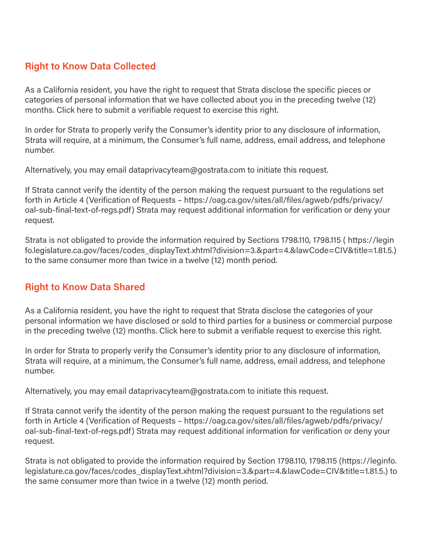## **Right to Know Data Collected**

As a California resident, you have the right to request that Strata disclose the specific pieces or categories of personal information that we have collected about you in the preceding twelve (12) months. Click here to submit a verifiable request to exercise this right.

In order for Strata to properly verify the Consumer's identity prior to any disclosure of information, Strata will require, at a minimum, the Consumer's full name, address, email address, and telephone number.

Alternatively, you may email dataprivacyteam@gostrata.com to initiate this request.

If Strata cannot verify the identity of the person making the request pursuant to the regulations set forth in Article 4 (Verification of Requests – https://oag.ca.gov/sites/all/files/agweb/pdfs/privacy/ oal-sub-final-text-of-regs.pdf) Strata may request additional information for verification or deny your request.

Strata is not obligated to provide the information required by Sections 1798.110, 1798.115 ( https://legin fo.legislature.ca.gov/faces/codes\_displayText.xhtml?division=3.&part=4.&lawCode=CIV&title=1.81.5.) to the same consumer more than twice in a twelve (12) month period.

## **Right to Know Data Shared**

As a California resident, you have the right to request that Strata disclose the categories of your personal information we have disclosed or sold to third parties for a business or commercial purpose in the preceding twelve (12) months. Click here to submit a verifiable request to exercise this right.

In order for Strata to properly verify the Consumer's identity prior to any disclosure of information, Strata will require, at a minimum, the Consumer's full name, address, email address, and telephone number.

Alternatively, you may email dataprivacyteam@gostrata.com to initiate this request.

If Strata cannot verify the identity of the person making the request pursuant to the regulations set forth in Article 4 (Verification of Requests – https://oag.ca.gov/sites/all/files/agweb/pdfs/privacy/ oal-sub-final-text-of-regs.pdf) Strata may request additional information for verification or deny your request.

Strata is not obligated to provide the information required by Section 1798.110, 1798.115 (https://leginfo. legislature.ca.gov/faces/codes\_displayText.xhtml?division=3.&part=4.&lawCode=CIV&title=1.81.5.) to the same consumer more than twice in a twelve (12) month period.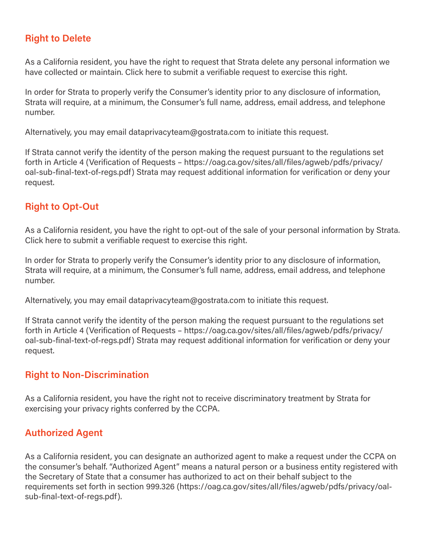## **Right to Delete**

As a California resident, you have the right to request that Strata delete any personal information we have collected or maintain. Click here to submit a verifiable request to exercise this right.

In order for Strata to properly verify the Consumer's identity prior to any disclosure of information, Strata will require, at a minimum, the Consumer's full name, address, email address, and telephone number.

Alternatively, you may email dataprivacyteam@gostrata.com to initiate this request.

If Strata cannot verify the identity of the person making the request pursuant to the regulations set forth in Article 4 (Verification of Requests – https://oag.ca.gov/sites/all/files/agweb/pdfs/privacy/ oal-sub-final-text-of-regs.pdf) Strata may request additional information for verification or deny your request.

#### **Right to Opt-Out**

As a California resident, you have the right to opt-out of the sale of your personal information by Strata. Click here to submit a verifiable request to exercise this right.

In order for Strata to properly verify the Consumer's identity prior to any disclosure of information, Strata will require, at a minimum, the Consumer's full name, address, email address, and telephone number.

Alternatively, you may email dataprivacyteam@gostrata.com to initiate this request.

If Strata cannot verify the identity of the person making the request pursuant to the regulations set forth in Article 4 (Verification of Requests – https://oag.ca.gov/sites/all/files/agweb/pdfs/privacy/ oal-sub-final-text-of-regs.pdf) Strata may request additional information for verification or deny your request.

#### **Right to Non-Discrimination**

As a California resident, you have the right not to receive discriminatory treatment by Strata for exercising your privacy rights conferred by the CCPA.

## **Authorized Agent**

As a California resident, you can designate an authorized agent to make a request under the CCPA on the consumer's behalf. "Authorized Agent" means a natural person or a business entity registered with the Secretary of State that a consumer has authorized to act on their behalf subject to the requirements set forth in section 999.326 (https://oag.ca.gov/sites/all/files/agweb/pdfs/privacy/oalsub-final-text-of-regs.pdf).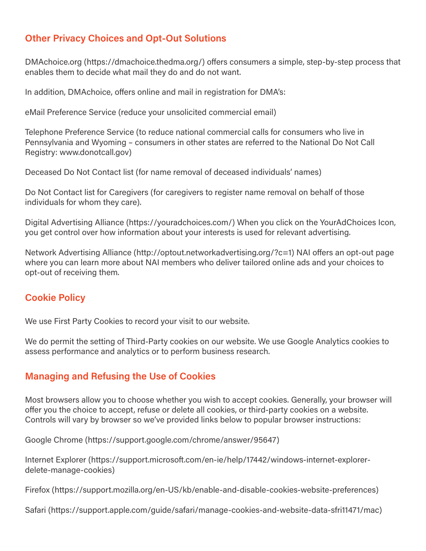## **Other Privacy Choices and Opt-Out Solutions**

DMAchoice.org (https://dmachoice.thedma.org/) offers consumers a simple, step-by-step process that enables them to decide what mail they do and do not want.

In addition, DMAchoice, offers online and mail in registration for DMA's:

eMail Preference Service (reduce your unsolicited commercial email)

Telephone Preference Service (to reduce national commercial calls for consumers who live in Pennsylvania and Wyoming – consumers in other states are referred to the National Do Not Call Registry: www.donotcall.gov)

Deceased Do Not Contact list (for name removal of deceased individuals' names)

Do Not Contact list for Caregivers (for caregivers to register name removal on behalf of those individuals for whom they care).

Digital Advertising Alliance (https://youradchoices.com/) When you click on the YourAdChoices Icon, you get control over how information about your interests is used for relevant advertising.

Network Advertising Alliance (http://optout.networkadvertising.org/?c=1) NAI offers an opt-out page where you can learn more about NAI members who deliver tailored online ads and your choices to opt-out of receiving them.

## **Cookie Policy**

We use First Party Cookies to record your visit to our website.

We do permit the setting of Third-Party cookies on our website. We use Google Analytics cookies to assess performance and analytics or to perform business research.

## **Managing and Refusing the Use of Cookies**

Most browsers allow you to choose whether you wish to accept cookies. Generally, your browser will offer you the choice to accept, refuse or delete all cookies, or third-party cookies on a website. Controls will vary by browser so we've provided links below to popular browser instructions:

Google Chrome (https://support.google.com/chrome/answer/95647)

Internet Explorer (https://support.microsoft.com/en-ie/help/17442/windows-internet-explorerdelete-manage-cookies)

Firefox (https://support.mozilla.org/en-US/kb/enable-and-disable-cookies-website-preferences)

Safari (https://support.apple.com/guide/safari/manage-cookies-and-website-data-sfri11471/mac)